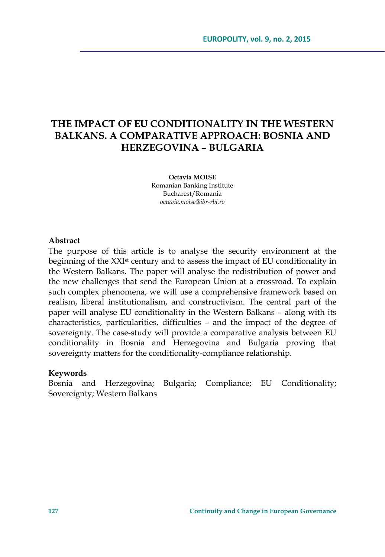# **THE IMPACT OF EU CONDITIONALITY IN THE WESTERN BALKANS. A COMPARATIVE APPROACH: BOSNIA AND HERZEGOVINA – BULGARIA**

**Octavia MOISE**  Romanian Banking Institute Bucharest/Romania *octavia.moise@ibr-rbi.ro* 

### **Abstract**

The purpose of this article is to analyse the security environment at the beginning of the XXI<sup>st</sup> century and to assess the impact of EU conditionality in the Western Balkans. The paper will analyse the redistribution of power and the new challenges that send the European Union at a crossroad. To explain such complex phenomena, we will use a comprehensive framework based on realism, liberal institutionalism, and constructivism. The central part of the paper will analyse EU conditionality in the Western Balkans – along with its characteristics, particularities, difficulties – and the impact of the degree of sovereignty. The case-study will provide a comparative analysis between EU conditionality in Bosnia and Herzegovina and Bulgaria proving that sovereignty matters for the conditionality-compliance relationship.

#### **Keywords**

Bosnia and Herzegovina; Bulgaria; Compliance; EU Conditionality; Sovereignty; Western Balkans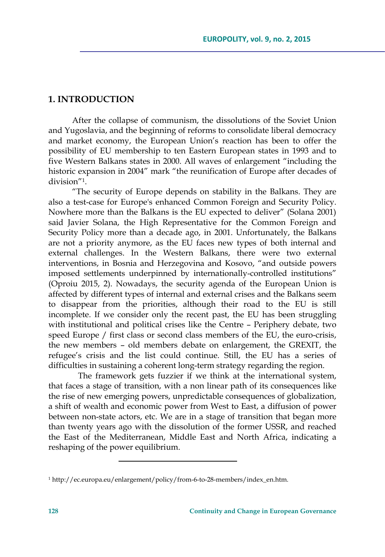## **1. INTRODUCTION**

After the collapse of communism, the dissolutions of the Soviet Union and Yugoslavia, and the beginning of reforms to consolidate liberal democracy and market economy, the European Union's reaction has been to offer the possibility of EU membership to ten Eastern European states in 1993 and to five Western Balkans states in 2000. All waves of enlargement "including the historic expansion in 2004" mark "the reunification of Europe after decades of division"1.

"The security of Europe depends on stability in the Balkans. They are also a test-case for Europe's enhanced Common Foreign and Security Policy. Nowhere more than the Balkans is the EU expected to deliver" (Solana 2001) said Javier Solana, the High Representative for the Common Foreign and Security Policy more than a decade ago, in 2001. Unfortunately, the Balkans are not a priority anymore, as the EU faces new types of both internal and external challenges. In the Western Balkans, there were two external interventions, in Bosnia and Herzegovina and Kosovo, "and outside powers imposed settlements underpinned by internationally-controlled institutions" (Oproiu 2015, 2). Nowadays, the security agenda of the European Union is affected by different types of internal and external crises and the Balkans seem to disappear from the priorities, although their road to the EU is still incomplete. If we consider only the recent past, the EU has been struggling with institutional and political crises like the Centre – Periphery debate, two speed Europe / first class or second class members of the EU, the euro-crisis, the new members – old members debate on enlargement, the GREXIT, the refugee's crisis and the list could continue. Still, the EU has a series of difficulties in sustaining a coherent long-term strategy regarding the region.

The framework gets fuzzier if we think at the international system, that faces a stage of transition, with a non linear path of its consequences like the rise of new emerging powers, unpredictable consequences of globalization, a shift of wealth and economic power from West to East, a diffusion of power between non-state actors, etc. We are in a stage of transition that began more than twenty years ago with the dissolution of the former USSR, and reached the East of the Mediterranean, Middle East and North Africa, indicating a reshaping of the power equilibrium.

<sup>1</sup> http://ec.europa.eu/enlargement/policy/from-6-to-28-members/index\_en.htm.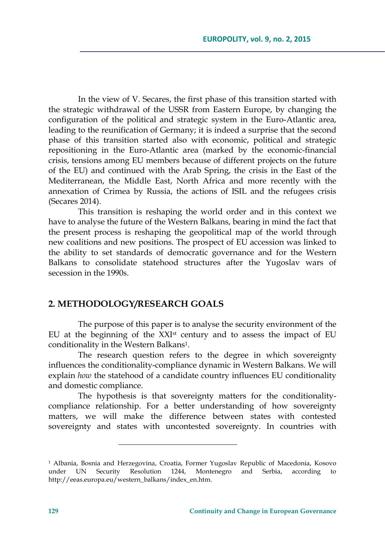In the view of V. Secares, the first phase of this transition started with the strategic withdrawal of the USSR from Eastern Europe, by changing the configuration of the political and strategic system in the Euro-Atlantic area, leading to the reunification of Germany; it is indeed a surprise that the second phase of this transition started also with economic, political and strategic repositioning in the Euro-Atlantic area (marked by the economic-financial crisis, tensions among EU members because of different projects on the future of the EU) and continued with the Arab Spring, the crisis in the East of the Mediterranean, the Middle East, North Africa and more recently with the annexation of Crimea by Russia, the actions of ISIL and the refugees crisis (Secares 2014).

This transition is reshaping the world order and in this context we have to analyse the future of the Western Balkans, bearing in mind the fact that the present process is reshaping the geopolitical map of the world through new coalitions and new positions. The prospect of EU accession was linked to the ability to set standards of democratic governance and for the Western Balkans to consolidate statehood structures after the Yugoslav wars of secession in the 1990s.

### **2. METHODOLOGY/RESEARCH GOALS**

The purpose of this paper is to analyse the security environment of the EU at the beginning of the XXIst century and to assess the impact of EU conditionality in the Western Balkans<sup>1</sup>.

The research question refers to the degree in which sovereignty influences the conditionality-compliance dynamic in Western Balkans. We will explain *how* the statehood of a candidate country influences EU conditionality and domestic compliance.

The hypothesis is that sovereignty matters for the conditionalitycompliance relationship. For a better understanding of how sovereignty matters, we will make the difference between states with contested sovereignty and states with uncontested sovereignty. In countries with

<u> 1989 - Johann Barn, mars eta inperiodo</u>

<sup>1</sup> Albania, Bosnia and Herzegovina, Croatia, Former Yugoslav Republic of Macedonia, Kosovo under UN Security Resolution 1244, Montenegro and Serbia, according to http://eeas.europa.eu/western\_balkans/index\_en.htm.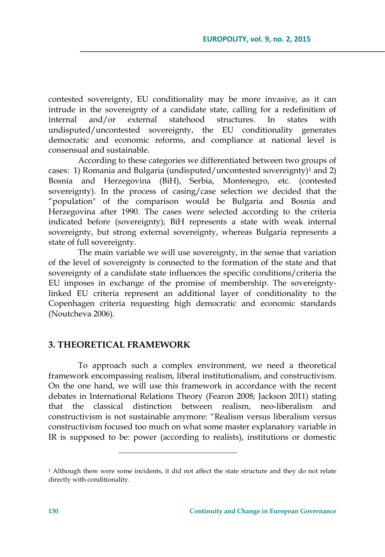contested sovereignty, EU conditionality may be more invasive, as it can intrude in the sovereignty of a candidate state, calling for a redefinition of internal and/or external statehood structures. In states with undisputed/uncontested sovereignty, the EU conditionality generates democratic and economic reforms, and compliance at national level is consensual and sustainable.

According to these categories we differentiated between two groups of cases: 1) Romania and Bulgaria (undisputed/uncontested sovereignty)<sup>1</sup> and 2) Bosnia and Herzegovina (BiH), Serbia, Montenegro, etc. (contested sovereignty). In the process of casing/case selection we decided that the "population" of the comparison would be Bulgaria and Bosnia and Herzegovina after 1990. The cases were selected according to the criteria indicated before (sovereignty); BiH represents a state with weak internal sovereignty, but strong external sovereignty, whereas Bulgaria represents a state of full sovereignty.

The main variable we will use sovereignty, in the sense that variation of the level of sovereignty is connected to the formation of the state and that sovereignty of a candidate state influences the specific conditions/criteria the EU imposes in exchange of the promise of membership. The sovereigntylinked EU criteria represent an additional layer of conditionality to the Copenhagen criteria requesting high democratic and economic standards (Noutcheva 2006).

### **3. THEORETICAL FRAMEWORK**

To approach such a complex environment, we need a theoretical framework encompassing realism, liberal institutionalism, and constructivism. On the one hand, we will use this framework in accordance with the recent debates in International Relations Theory (Fearon 2008; Jackson 2011) stating that the classical distinction between realism, neo-liberalism and constructivism is not sustainable anymore: "Realism versus liberalism versus constructivism focused too much on what some master explanatory variable in IR is supposed to be: power (according to realists), institutions or domestic

<sup>&</sup>lt;sup>1</sup> Although there were some incidents, it did not affect the state structure and they do not relate directly with conditionality.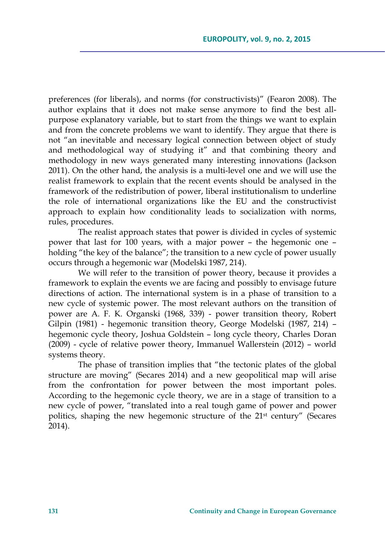preferences (for liberals), and norms (for constructivists)" (Fearon 2008). The author explains that it does not make sense anymore to find the best allpurpose explanatory variable, but to start from the things we want to explain and from the concrete problems we want to identify. They argue that there is not "an inevitable and necessary logical connection between object of study and methodological way of studying it" and that combining theory and methodology in new ways generated many interesting innovations (Jackson 2011). On the other hand, the analysis is a multi-level one and we will use the realist framework to explain that the recent events should be analysed in the framework of the redistribution of power, liberal institutionalism to underline the role of international organizations like the EU and the constructivist approach to explain how conditionality leads to socialization with norms, rules, procedures.

The realist approach states that power is divided in cycles of systemic power that last for 100 years, with a major power – the hegemonic one – holding "the key of the balance"; the transition to a new cycle of power usually occurs through a hegemonic war (Modelski 1987, 214).

We will refer to the transition of power theory, because it provides a framework to explain the events we are facing and possibly to envisage future directions of action. The international system is in a phase of transition to a new cycle of systemic power. The most relevant authors on the transition of power are A. F. K. Organski (1968, 339) - power transition theory, Robert Gilpin (1981) - hegemonic transition theory, George Modelski (1987, 214) – hegemonic cycle theory, Joshua Goldstein – long cycle theory, Charles Doran (2009) - cycle of relative power theory, Immanuel Wallerstein (2012) – world systems theory.

The phase of transition implies that "the tectonic plates of the global structure are moving" (Secares 2014) and a new geopolitical map will arise from the confrontation for power between the most important poles. According to the hegemonic cycle theory, we are in a stage of transition to a new cycle of power, "translated into a real tough game of power and power politics, shaping the new hegemonic structure of the 21<sup>st</sup> century" (Secares 2014).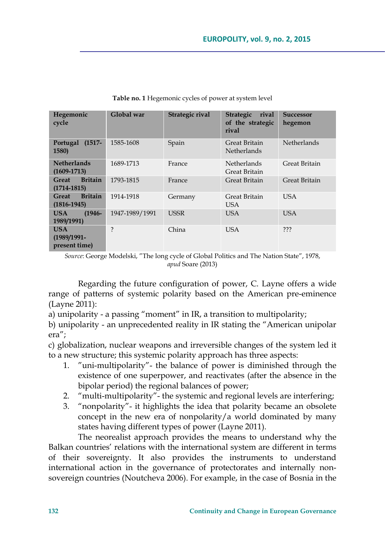| Hegemonic<br>cycle                            | Global war         | Strategic rival | <b>Strategic</b><br>rival<br>of the strategic<br>rival | <b>Successor</b><br>hegemon |
|-----------------------------------------------|--------------------|-----------------|--------------------------------------------------------|-----------------------------|
| Portugal<br>$(1517 -$<br>1580)                | 1585-1608          | Spain           | Great Britain<br><b>Netherlands</b>                    | <b>Netherlands</b>          |
| <b>Netherlands</b><br>$(1609 - 1713)$         | 1689-1713          | France          | <b>Netherlands</b><br>Great Britain                    | Great Britain               |
| <b>Britain</b><br>Great<br>$(1714 - 1815)$    | 1793-1815          | France          | Great Britain                                          | Great Britain               |
| <b>Britain</b><br>Great<br>$(1816 - 1945)$    | 1914-1918          | Germany         | Great Britain<br><b>USA</b>                            | <b>USA</b>                  |
| $(1946 -$<br><b>USA</b><br>1989/1991)         | 1947-1989/1991     | <b>USSR</b>     | USA.                                                   | <b>USA</b>                  |
| <b>USA</b><br>$(1989/1991 -$<br>present time) | $\overline{\cdot}$ | China           | USA                                                    | ???                         |

**Table no. 1** Hegemonic cycles of power at system level

*Source*: George Modelski, "The long cycle of Global Politics and The Nation State", 1978, *apud* Soare (2013)

Regarding the future configuration of power, C. Layne offers a wide range of patterns of systemic polarity based on the American pre-eminence (Layne 2011):

a) unipolarity - a passing "moment" in IR, a transition to multipolarity;

b) unipolarity - an unprecedented reality in IR stating the "American unipolar era";

c) globalization, nuclear weapons and irreversible changes of the system led it to a new structure; this systemic polarity approach has three aspects:

- 1. "uni-multipolarity"- the balance of power is diminished through the existence of one superpower, and reactivates (after the absence in the bipolar period) the regional balances of power;
- 2. "multi-multipolarity"- the systemic and regional levels are interfering;
- 3. "nonpolarity"- it highlights the idea that polarity became an obsolete concept in the new era of nonpolarity/a world dominated by many states having different types of power (Layne 2011).

The neorealist approach provides the means to understand why the Balkan countries' relations with the international system are different in terms of their sovereignty. It also provides the instruments to understand international action in the governance of protectorates and internally nonsovereign countries (Noutcheva 2006). For example, in the case of Bosnia in the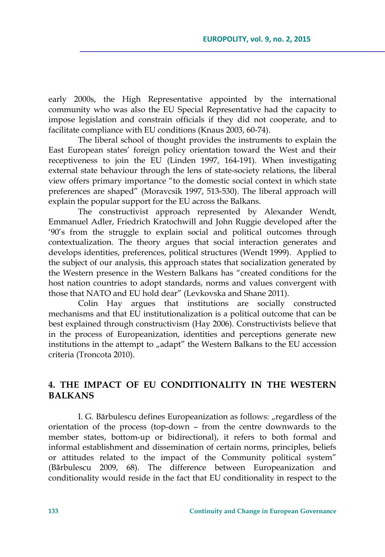early 2000s, the High Representative appointed by the international community who was also the EU Special Representative had the capacity to impose legislation and constrain officials if they did not cooperate, and to facilitate compliance with EU conditions (Knaus 2003, 60-74).

The liberal school of thought provides the instruments to explain the East European states' foreign policy orientation toward the West and their receptiveness to join the EU (Linden 1997, 164-191). When investigating external state behaviour through the lens of state-society relations, the liberal view offers primary importance "to the domestic social context in which state preferences are shaped" (Moravcsik 1997, 513-530). The liberal approach will explain the popular support for the EU across the Balkans.

The constructivist approach represented by Alexander Wendt, Emmanuel Adler, Friedrich Kratochwill and John Ruggie developed after the '90's from the struggle to explain social and political outcomes through contextualization. The theory argues that social interaction generates and develops identities, preferences, political structures (Wendt 1999). Applied to the subject of our analysis, this approach states that socialization generated by the Western presence in the Western Balkans has "created conditions for the host nation countries to adopt standards, norms and values convergent with those that NATO and EU hold dear" (Levkovska and Shane 2011).

Colin Hay argues that institutions are socially constructed mechanisms and that EU institutionalization is a political outcome that can be best explained through constructivism (Hay 2006). Constructivists believe that in the process of Europeanization, identities and perceptions generate new institutions in the attempt to "adapt" the Western Balkans to the EU accession criteria (Troncota 2010).

# **4. THE IMPACT OF EU CONDITIONALITY IN THE WESTERN BALKANS**

I. G. Bărbulescu defines Europeanization as follows: "regardless of the orientation of the process (top-down – from the centre downwards to the member states, bottom-up or bidirectional), it refers to both formal and informal establishment and dissemination of certain norms, principles, beliefs or attitudes related to the impact of the Community political system" (Bӑrbulescu 2009, 68). The difference between Europeanization and conditionality would reside in the fact that EU conditionality in respect to the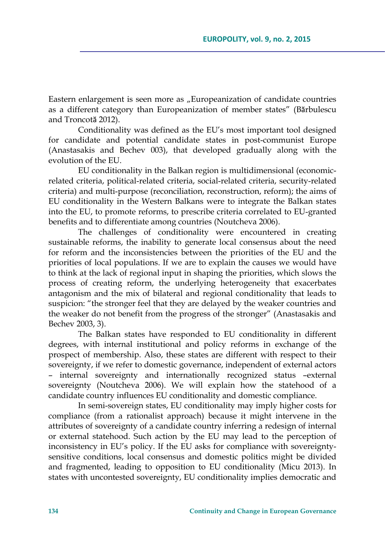Eastern enlargement is seen more as "Europeanization of candidate countries as a different category than Europeanization of member states" (Bӑrbulescu and Troncotӑ 2012).

Conditionality was defined as the EU's most important tool designed for candidate and potential candidate states in post-communist Europe (Anastasakis and Bechev 003), that developed gradually along with the evolution of the EU.

EU conditionality in the Balkan region is multidimensional (economicrelated criteria, political-related criteria, social-related criteria, security-related criteria) and multi-purpose (reconciliation, reconstruction, reform); the aims of EU conditionality in the Western Balkans were to integrate the Balkan states into the EU, to promote reforms, to prescribe criteria correlated to EU-granted benefits and to differentiate among countries (Noutcheva 2006).

The challenges of conditionality were encountered in creating sustainable reforms, the inability to generate local consensus about the need for reform and the inconsistencies between the priorities of the EU and the priorities of local populations. If we are to explain the causes we would have to think at the lack of regional input in shaping the priorities, which slows the process of creating reform, the underlying heterogeneity that exacerbates antagonism and the mix of bilateral and regional conditionality that leads to suspicion: "the stronger feel that they are delayed by the weaker countries and the weaker do not benefit from the progress of the stronger" (Anastasakis and Bechev 2003, 3).

The Balkan states have responded to EU conditionality in different degrees, with internal institutional and policy reforms in exchange of the prospect of membership. Also, these states are different with respect to their sovereignty, if we refer to domestic governance, independent of external actors – internal sovereignty and internationally recognized status –external sovereignty (Noutcheva 2006). We will explain how the statehood of a candidate country influences EU conditionality and domestic compliance.

In semi-sovereign states, EU conditionality may imply higher costs for compliance (from a rationalist approach) because it might intervene in the attributes of sovereignty of a candidate country inferring a redesign of internal or external statehood. Such action by the EU may lead to the perception of inconsistency in EU's policy. If the EU asks for compliance with sovereigntysensitive conditions, local consensus and domestic politics might be divided and fragmented, leading to opposition to EU conditionality (Micu 2013). In states with uncontested sovereignty, EU conditionality implies democratic and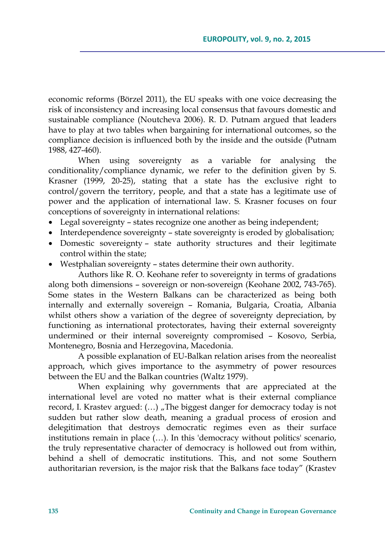economic reforms (Börzel 2011), the EU speaks with one voice decreasing the risk of inconsistency and increasing local consensus that favours domestic and sustainable compliance (Noutcheva 2006). R. D. Putnam argued that leaders have to play at two tables when bargaining for international outcomes, so the compliance decision is influenced both by the inside and the outside (Putnam 1988, 427-460).

When using sovereignty as a variable for analysing the conditionality/compliance dynamic, we refer to the definition given by S. Krasner (1999, 20-25), stating that a state has the exclusive right to control/govern the territory, people, and that a state has a legitimate use of power and the application of international law. S. Krasner focuses on four conceptions of sovereignty in international relations:

- Legal sovereignty states recognize one another as being independent;
- Interdependence sovereignty state sovereignty is eroded by globalisation;
- Domestic sovereignty state authority structures and their legitimate control within the state;
- Westphalian sovereignty states determine their own authority.

Authors like R. O. Keohane refer to sovereignty in terms of gradations along both dimensions – sovereign or non-sovereign (Keohane 2002, 743-765). Some states in the Western Balkans can be characterized as being both internally and externally sovereign – Romania, Bulgaria, Croatia, Albania whilst others show a variation of the degree of sovereignty depreciation, by functioning as international protectorates, having their external sovereignty undermined or their internal sovereignty compromised – Kosovo, Serbia, Montenegro, Bosnia and Herzegovina, Macedonia.

A possible explanation of EU-Balkan relation arises from the neorealist approach, which gives importance to the asymmetry of power resources between the EU and the Balkan countries (Waltz 1979).

When explaining why governments that are appreciated at the international level are voted no matter what is their external compliance record, I. Krastev argued:  $(...)$  , The biggest danger for democracy today is not sudden but rather slow death, meaning a gradual process of erosion and delegitimation that destroys democratic regimes even as their surface institutions remain in place (…). In this 'democracy without politics' scenario, the truly representative character of democracy is hollowed out from within, behind a shell of democratic institutions. This, and not some Southern authoritarian reversion, is the major risk that the Balkans face today" (Krastev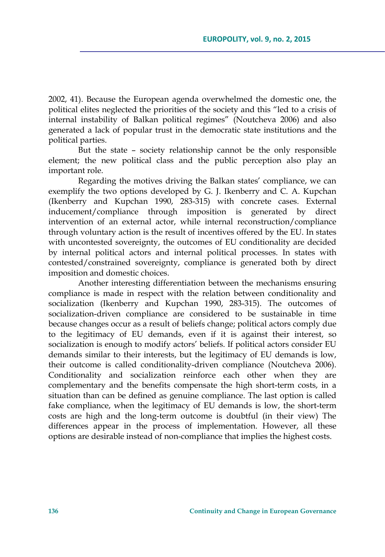2002, 41). Because the European agenda overwhelmed the domestic one, the political elites neglected the priorities of the society and this "led to a crisis of internal instability of Balkan political regimes" (Noutcheva 2006) and also generated a lack of popular trust in the democratic state institutions and the political parties.

But the state – society relationship cannot be the only responsible element; the new political class and the public perception also play an important role.

Regarding the motives driving the Balkan states' compliance, we can exemplify the two options developed by G. J. Ikenberry and C. A. Kupchan (Ikenberry and Kupchan 1990, 283-315) with concrete cases. External inducement/compliance through imposition is generated by direct intervention of an external actor, while internal reconstruction/compliance through voluntary action is the result of incentives offered by the EU. In states with uncontested sovereignty, the outcomes of EU conditionality are decided by internal political actors and internal political processes. In states with contested/constrained sovereignty, compliance is generated both by direct imposition and domestic choices.

Another interesting differentiation between the mechanisms ensuring compliance is made in respect with the relation between conditionality and socialization (Ikenberry and Kupchan 1990, 283-315). The outcomes of socialization-driven compliance are considered to be sustainable in time because changes occur as a result of beliefs change; political actors comply due to the legitimacy of EU demands, even if it is against their interest, so socialization is enough to modify actors' beliefs. If political actors consider EU demands similar to their interests, but the legitimacy of EU demands is low, their outcome is called conditionality-driven compliance (Noutcheva 2006). Conditionality and socialization reinforce each other when they are complementary and the benefits compensate the high short-term costs, in a situation than can be defined as genuine compliance. The last option is called fake compliance, when the legitimacy of EU demands is low, the short-term costs are high and the long-term outcome is doubtful (in their view) The differences appear in the process of implementation. However, all these options are desirable instead of non-compliance that implies the highest costs.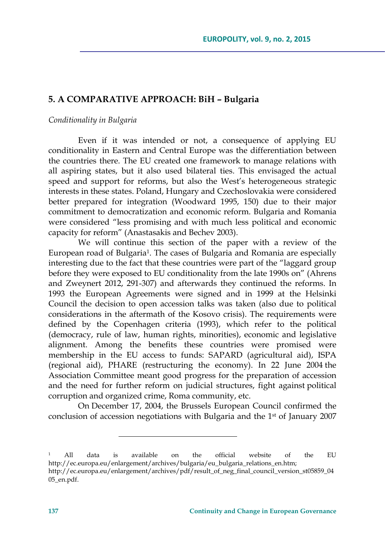# **5. A COMPARATIVE APPROACH: BiH – Bulgaria**

### *Conditionality in Bulgaria*

Even if it was intended or not, a consequence of applying EU conditionality in Eastern and Central Europe was the differentiation between the countries there. The EU created one framework to manage relations with all aspiring states, but it also used bilateral ties. This envisaged the actual speed and support for reforms, but also the West's heterogeneous strategic interests in these states. Poland, Hungary and Czechoslovakia were considered better prepared for integration (Woodward 1995, 150) due to their major commitment to democratization and economic reform. Bulgaria and Romania were considered "less promising and with much less political and economic capacity for reform" (Anastasakis and Bechev 2003).

We will continue this section of the paper with a review of the European road of Bulgaria<sup>1</sup>. The cases of Bulgaria and Romania are especially interesting due to the fact that these countries were part of the "laggard group before they were exposed to EU conditionality from the late 1990s on" (Ahrens and Zweynert 2012, 291-307) and afterwards they continued the reforms. In 1993 the European Agreements were signed and in 1999 at the Helsinki Council the decision to open accession talks was taken (also due to political considerations in the aftermath of the Kosovo crisis). The requirements were defined by the Copenhagen criteria (1993), which refer to the political (democracy, rule of law, human rights, minorities), economic and legislative alignment. Among the benefits these countries were promised were membership in the EU access to funds: SAPARD (agricultural aid), ISPA (regional aid), PHARE (restructuring the economy). In 22 June 2004 the Association Committee meant good progress for the preparation of accession and the need for further reform on judicial structures, fight against political corruption and organized crime, Roma community, etc.

On December 17, 2004, the Brussels European Council confirmed the conclusion of accession negotiations with Bulgaria and the 1<sup>st</sup> of January 2007

<sup>1</sup> All data is available on the official website of the EU http://ec.europa.eu/enlargement/archives/bulgaria/eu\_bulgaria\_relations\_en.htm; http://ec.europa.eu/enlargement/archives/pdf/result\_of\_neg\_final\_council\_version\_st05859\_04 05\_en.pdf.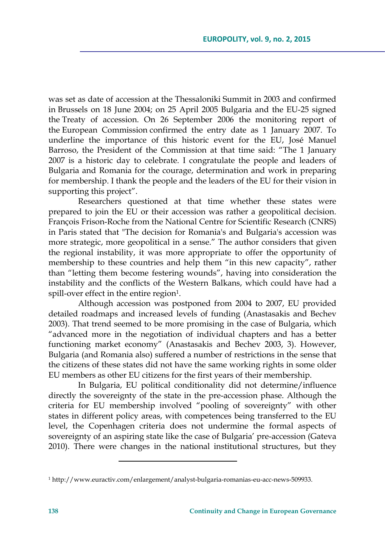was set as date of accession at the Thessaloniki Summit in 2003 and confirmed in Brussels on 18 June 2004; on 25 April 2005 Bulgaria and the EU-25 signed the Treaty of accession. On 26 September 2006 the monitoring report of the European Commission confirmed the entry date as 1 January 2007. To underline the importance of this historic event for the EU, José Manuel Barroso, the President of the Commission at that time said: "The 1 January 2007 is a historic day to celebrate. I congratulate the people and leaders of Bulgaria and Romania for the courage, determination and work in preparing for membership. I thank the people and the leaders of the EU for their vision in supporting this project".

Researchers questioned at that time whether these states were prepared to join the EU or their accession was rather a geopolitical decision. François Frison-Roche from the National Centre for Scientific Research (CNRS) in Paris stated that "The decision for Romania's and Bulgaria's accession was more strategic, more geopolitical in a sense." The author considers that given the regional instability, it was more appropriate to offer the opportunity of membership to these countries and help them "in this new capacity", rather than "letting them become festering wounds", having into consideration the instability and the conflicts of the Western Balkans, which could have had a spill-over effect in the entire region<sup>1</sup>.

Although accession was postponed from 2004 to 2007, EU provided detailed roadmaps and increased levels of funding (Anastasakis and Bechev 2003). That trend seemed to be more promising in the case of Bulgaria, which "advanced more in the negotiation of individual chapters and has a better functioning market economy" (Anastasakis and Bechev 2003, 3). However, Bulgaria (and Romania also) suffered a number of restrictions in the sense that the citizens of these states did not have the same working rights in some older EU members as other EU citizens for the first years of their membership.

In Bulgaria, EU political conditionality did not determine/influence directly the sovereignty of the state in the pre-accession phase. Although the criteria for EU membership involved "pooling of sovereignty" with other states in different policy areas, with competences being transferred to the EU level, the Copenhagen criteria does not undermine the formal aspects of sovereignty of an aspiring state like the case of Bulgaria' pre-accession (Gateva 2010). There were changes in the national institutional structures, but they

<sup>1</sup> http://www.euractiv.com/enlargement/analyst-bulgaria-romanias-eu-acc-news-509933.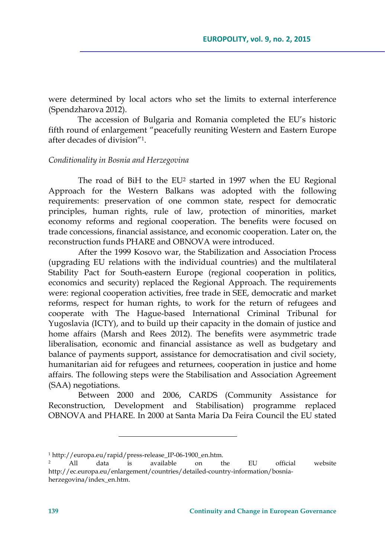were determined by local actors who set the limits to external interference (Spendzharova 2012).

The accession of Bulgaria and Romania completed the EU's historic fifth round of enlargement "peacefully reuniting Western and Eastern Europe after decades of division"1.

### *Conditionality in Bosnia and Herzegovina*

The road of BiH to the EU<sup>2</sup> started in 1997 when the EU Regional Approach for the Western Balkans was adopted with the following requirements: preservation of one common state, respect for democratic principles, human rights, rule of law, protection of minorities, market economy reforms and regional cooperation. The benefits were focused on trade concessions, financial assistance, and economic cooperation. Later on, the reconstruction funds PHARE and OBNOVA were introduced.

After the 1999 Kosovo war, the Stabilization and Association Process (upgrading EU relations with the individual countries) and the multilateral Stability Pact for South-eastern Europe (regional cooperation in politics, economics and security) replaced the Regional Approach. The requirements were: regional cooperation activities, free trade in SEE, democratic and market reforms, respect for human rights, to work for the return of refugees and cooperate with The Hague-based International Criminal Tribunal for Yugoslavia (ICTY), and to build up their capacity in the domain of justice and home affairs (Marsh and Rees 2012). The benefits were asymmetric trade liberalisation, economic and financial assistance as well as budgetary and balance of payments support, assistance for democratisation and civil society, humanitarian aid for refugees and returnees, cooperation in justice and home affairs. The following steps were the Stabilisation and Association Agreement (SAA) negotiations.

Between 2000 and 2006, CARDS (Community Assistance for Reconstruction, Development and Stabilisation) programme replaced OBNOVA and PHARE. In 2000 at Santa Maria Da Feira Council the EU stated

<sup>1</sup> http://europa.eu/rapid/press-release\_IP-06-1900\_en.htm.

<sup>2</sup> All data is available on the EU official website http://ec.europa.eu/enlargement/countries/detailed-country-information/bosniaherzegovina/index\_en.htm.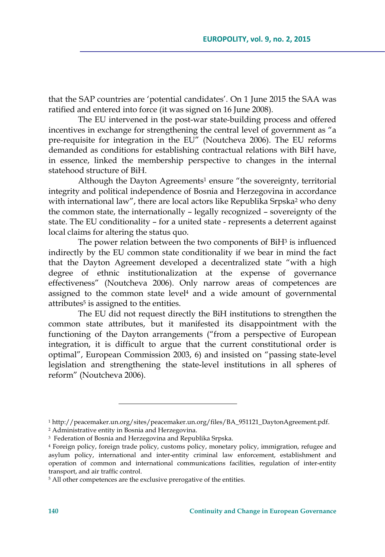that the SAP countries are 'potential candidates'. On 1 June 2015 the SAA was ratified and entered into force (it was signed on 16 June 2008).

The EU intervened in the post-war state-building process and offered incentives in exchange for strengthening the central level of government as "a pre-requisite for integration in the EU" (Noutcheva 2006). The EU reforms demanded as conditions for establishing contractual relations with BiH have, in essence, linked the membership perspective to changes in the internal statehood structure of BiH.

Although the Dayton Agreements<sup>1</sup> ensure "the sovereignty, territorial integrity and political independence of Bosnia and Herzegovina in accordance with international law", there are local actors like Republika Srpska<sup>2</sup> who deny the common state, the internationally – legally recognized – sovereignty of the state. The EU conditionality – for a united state - represents a deterrent against local claims for altering the status quo.

The power relation between the two components of BiH<sup>3</sup> is influenced indirectly by the EU common state conditionality if we bear in mind the fact that the Dayton Agreement developed a decentralized state "with a high degree of ethnic institutionalization at the expense of governance effectiveness" (Noutcheva 2006). Only narrow areas of competences are assigned to the common state level $4$  and a wide amount of governmental attributes<sup>5</sup> is assigned to the entities.

The EU did not request directly the BiH institutions to strengthen the common state attributes, but it manifested its disappointment with the functioning of the Dayton arrangements ("from a perspective of European integration, it is difficult to argue that the current constitutional order is optimal", European Commission 2003, 6) and insisted on "passing state-level legislation and strengthening the state-level institutions in all spheres of reform" (Noutcheva 2006).

<u> 1989 - Johann Barn, mars eta inperiodo</u>

<sup>1</sup> http://peacemaker.un.org/sites/peacemaker.un.org/files/BA\_951121\_DaytonAgreement.pdf. 2 Administrative entity in Bosnia and Herzegovina.

<sup>3</sup> Federation of Bosnia and Herzegovina and Republika Srpska.

<sup>4</sup> Foreign policy, foreign trade policy, customs policy, monetary policy, immigration, refugee and asylum policy, international and inter-entity criminal law enforcement, establishment and operation of common and international communications facilities, regulation of inter-entity transport, and air traffic control.

<sup>&</sup>lt;sup>5</sup> All other competences are the exclusive prerogative of the entities.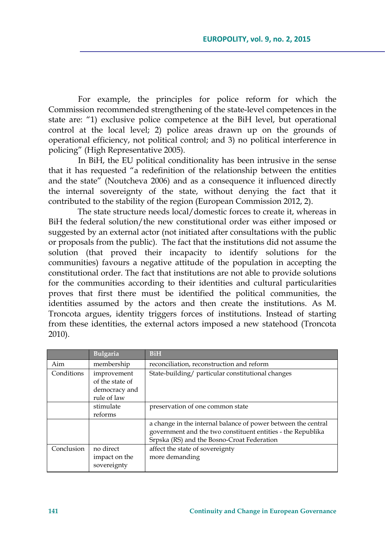For example, the principles for police reform for which the Commission recommended strengthening of the state-level competences in the state are: "1) exclusive police competence at the BiH level, but operational control at the local level; 2) police areas drawn up on the grounds of operational efficiency, not political control; and 3) no political interference in policing" (High Representative 2005).

In BiH, the EU political conditionality has been intrusive in the sense that it has requested "a redefinition of the relationship between the entities and the state" (Noutcheva 2006) and as a consequence it influenced directly the internal sovereignty of the state, without denying the fact that it contributed to the stability of the region (European Commission 2012, 2).

The state structure needs local/domestic forces to create it, whereas in BiH the federal solution/the new constitutional order was either imposed or suggested by an external actor (not initiated after consultations with the public or proposals from the public). The fact that the institutions did not assume the solution (that proved their incapacity to identify solutions for the communities) favours a negative attitude of the population in accepting the constitutional order. The fact that institutions are not able to provide solutions for the communities according to their identities and cultural particularities proves that first there must be identified the political communities, the identities assumed by the actors and then create the institutions. As M. Troncota argues, identity triggers forces of institutions. Instead of starting from these identities, the external actors imposed a new statehood (Troncota 2010).

|            | <b>Bulgaria</b>                                                | <b>BiH</b>                                                                                                                                                                 |  |
|------------|----------------------------------------------------------------|----------------------------------------------------------------------------------------------------------------------------------------------------------------------------|--|
| Aim        | membership                                                     | reconciliation, reconstruction and reform                                                                                                                                  |  |
| Conditions | improvement<br>of the state of<br>democracy and<br>rule of law | State-building/ particular constitutional changes                                                                                                                          |  |
|            | stimulate<br>reforms                                           | preservation of one common state                                                                                                                                           |  |
|            |                                                                | a change in the internal balance of power between the central<br>government and the two constituent entities - the Republika<br>Srpska (RS) and the Bosno-Croat Federation |  |
| Conclusion | no direct<br>impact on the<br>sovereignty                      | affect the state of sovereignty<br>more demanding                                                                                                                          |  |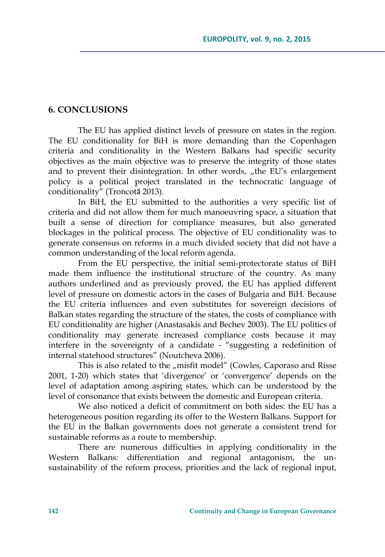# **6. CONCLUSIONS**

The EU has applied distinct levels of pressure on states in the region. The EU conditionality for BiH is more demanding than the Copenhagen criteria and conditionality in the Western Balkans had specific security objectives as the main objective was to preserve the integrity of those states and to prevent their disintegration. In other words, "the EU's enlargement policy is a political project translated in the technocratic language of conditionality" (Troncotӑ 2013).

In BiH, the EU submitted to the authorities a very specific list of criteria and did not allow them for much manoeuvring space, a situation that built a sense of direction for compliance measures, but also generated blockages in the political process. The objective of EU conditionality was to generate consensus on reforms in a much divided society that did not have a common understanding of the local reform agenda.

From the EU perspective, the initial semi-protectorate status of BiH made them influence the institutional structure of the country. As many authors underlined and as previously proved, the EU has applied different level of pressure on domestic actors in the cases of Bulgaria and BiH. Because the EU criteria influences and even substitutes for sovereign decisions of Balkan states regarding the structure of the states, the costs of compliance with EU conditionality are higher (Anastasakis and Bechev 2003). The EU politics of conditionality may generate increased compliance costs because it may interfere in the sovereignty of a candidate - "suggesting a redefinition of internal statehood structures" (Noutcheva 2006).

This is also related to the "misfit model" (Cowles, Caporaso and Risse 2001, 1-20) which states that 'divergence' or 'convergence' depends on the level of adaptation among aspiring states, which can be understood by the level of consonance that exists between the domestic and European criteria.

We also noticed a deficit of commitment on both sides: the EU has a heterogeneous position regarding its offer to the Western Balkans. Support for the EU in the Balkan governments does not generate a consistent trend for sustainable reforms as a route to membership.

There are numerous difficulties in applying conditionality in the Western Balkans: differentiation and regional antagonism, the unsustainability of the reform process, priorities and the lack of regional input,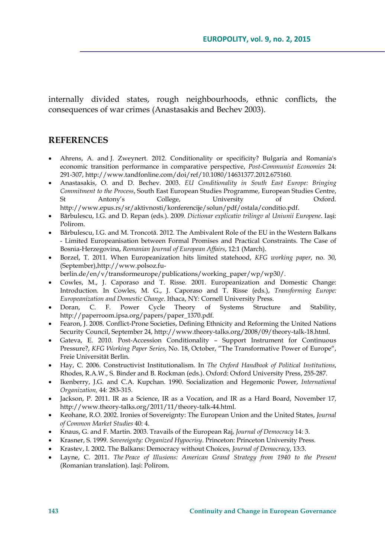internally divided states, rough neighbourhoods, ethnic conflicts, the consequences of war crimes (Anastasakis and Bechev 2003).

### **REFERENCES**

- Ahrens, A. and J. Zweynert. 2012. Conditionality or specificity? Bulgaria and Romania's economic transition performance in comparative perspective, *Post-Communist Economies* 24: 291-307, http://www.tandfonline.com/doi/ref/10.1080/14631377.2012.675160.
- Anastasakis, O. and D. Bechev. 2003. *EU Conditionality in South East Europe: Bringing Commitment to the Process*, South East European Studies Programme, European Studies Centre, St Antony's College, University of Oxford. http://www.epus.rs/sr/aktivnosti/konferencije/solun/pdf/ostala/conditio.pdf.
- Bărbulescu, I.G. and D. Repan (eds.). 2009. *Dictionar explicativ trilingv al Uniunii Europene*. Iaşi: Polirom.
- Bărbulescu, I.G. and M. Troncotă. 2012. The Ambivalent Role of the EU in the Western Balkans - Limited Europeanisation between Formal Promises and Practical Constraints. The Case of Bosnia-Herzegovina, *Romanian Journal of European Affairs*, 12:1 (March).
- Borzel, T. 2011. When Europeanization hits limited statehood, *KFG working paper*, no. 30, (September),http://www.polsoz.fu-
- berlin.de/en/v/transformeurope/publications/working\_paper/wp/wp30/.
- Cowles, M., J. Caporaso and T. Risse. 2001. Europeanization and Domestic Change: Introduction. In Cowles, M. G., J. Caporaso and T. Risse (eds.), *Transforming Europe: Europeanization and Domestic Change*. Ithaca, NY: Cornell University Press.
- Doran, C. F. Power Cycle Theory of Systems Structure and Stability, http://paperroom.ipsa.org/papers/paper\_1370.pdf.
- Fearon, J. 2008. Conflict-Prone Societies, Defining Ethnicity and Reforming the United Nations Security Council, September 24, http://www.theory-talks.org/2008/09/theory-talk-18.html.
- Gateva, E. 2010. Post-Accession Conditionality Support Instrument for Continuous Pressure?, *KFG Working Paper Series*, No. 18, October, "The Transformative Power of Europe", Freie Universität Berlin.
- Hay, C. 2006. Constructivist Institutionalism. In *The Oxford Handbook of Political Institutions*, Rhodes, R.A.W., S. Binder and B. Rockman (eds.). Oxford: Oxford University Press, 255-287.
- Ikenberry, J.G. and C.A. Kupchan. 1990. Socialization and Hegemonic Power, *International Organization,* 44: 283-315.
- Jackson, P. 2011. IR as a Science, IR as a Vocation, and IR as a Hard Board, November 17, http://www.theory-talks.org/2011/11/theory-talk-44.html.
- Keohane, R.O. 2002. Ironies of Sovereignty: The European Union and the United States, *Journal of Common Market Studies* 40: 4.
- Knaus, G. and F. Martin. 2003. Travails of the European Raj, *Journal of Democracy* 14: 3.
- Krasner, S. 1999. *Sovereignty: Organized Hypocrisy*. Princeton: Princeton University Press.
- Krastev, I. 2002. The Balkans: Democracy without Choices, *Journal of Democracy*, 13:3.
- Layne, C. 2011. *The Peace of Illusions: American Grand Strategy from 1940 to the Present*  (Romanian translation). Iaşi: Polirom.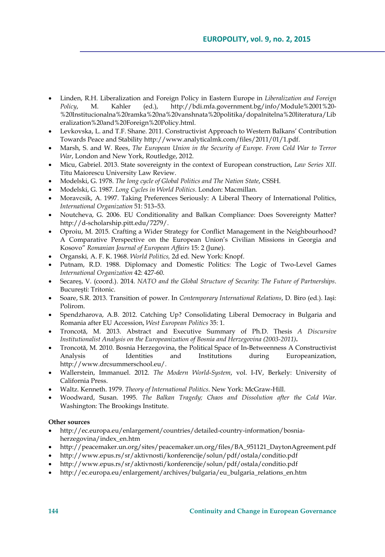- Linden, R.H. Liberalization and Foreign Policy in Eastern Europe in *Liberalization and Foreign Policy*, M. Kahler (ed.), http://bdi.mfa.government.bg/info/Module%2001%20- %20Institucionalna%20ramka%20na%20vanshnata%20politika/dopalnitelna%20literatura/Lib eralization%20and%20Foreign%20Policy.html.
- Levkovska, L. and T.F. Shane. 2011. Constructivist Approach to Western Balkans' Contribution Towards Peace and Stability http://www.analyticalmk.com/files/2011/01/1.pdf.
- Marsh, S. and W. Rees, *The European Union in the Security of Europe. From Cold War to Terror War*, London and New York, Routledge, 2012.
- Micu, Gabriel. 2013. State sovereignty in the context of European construction, *Law Series XII*. Titu Maiorescu University Law Review.
- Modelski, G. 1978. *The long cycle of Global Politics and The Nation State*, CSSH.
- Modelski, G. 1987. *Long Cycles in World Politics.* London: Macmillan*.*
- Moravcsik, A. 1997. Taking Preferences Seriously: A Liberal Theory of International Politics, *International Organization* 51: 513–53.
- Noutcheva, G. 2006. EU Conditionality and Balkan Compliance: Does Sovereignty Matter? http://d-scholarship.pitt.edu/7279/.
- Oproiu, M. 2015. Crafting a Wider Strategy for Conflict Management in the Neighbourhood? A Comparative Perspective on the European Union's Civilian Missions in Georgia and Kosovo" *Romanian Journal of European Affairs* 15: 2 (June).
- Organski*,* A. F. K. 1968. *World Politics,* 2d ed. New York: Knopf.
- Putnam, R.D. 1988. Diplomacy and Domestic Politics: The Logic of Two-Level Games *International Organization* 42: 427-60.
- Secareş, V. (coord.). 2014. *NATO and the Global Structure of Security: The Future of Partnerships*. Bucureşti: Tritonic.
- Soare, S.R. 2013. Transition of power. In *Contemporary International Relations*, D. Biro (ed.). Iaşi: Polirom.
- Spendzharova, A.B. 2012. Catching Up? Consolidating Liberal Democracy in Bulgaria and Romania after EU Accession, *West European Politics* 35: 1.
- Troncotă, M. 2013. Abstract and Executive Summary of Ph.D. Thesis *A Discursive Institutionalist Analysis on the Europeanization of Bosnia and Herzegovina (2003-2011)***.**
- Troncotă, M. 2010. Bosnia Herzegovina, the Political Space of In-Betweenness A Constructivist Analysis of Identities and Institutions during Europeanization, http://www.drcsummerschool.eu/.
- Wallerstein, Immanuel. 2012. *The Modern World*-*System*, vol. I-IV, Berkely: University of California Press.
- Waltz. Kenneth. 1979. *Theory of International Politics*. New York: McGraw-Hill.
- Woodward, Susan. 1995. *The Balkan Tragedy; Chaos and Dissolution after the Cold War*. Washington: The Brookings Institute.

#### **Other sources**

- http://ec.europa.eu/enlargement/countries/detailed-country-information/bosniaherzegovina/index\_en.htm
- http://peacemaker.un.org/sites/peacemaker.un.org/files/BA\_951121\_DaytonAgreement.pdf
- http://www.epus.rs/sr/aktivnosti/konferencije/solun/pdf/ostala/conditio.pdf
- http://www.epus.rs/sr/aktivnosti/konferencije/solun/pdf/ostala/conditio.pdf
- http://ec.europa.eu/enlargement/archives/bulgaria/eu\_bulgaria\_relations\_en.htm